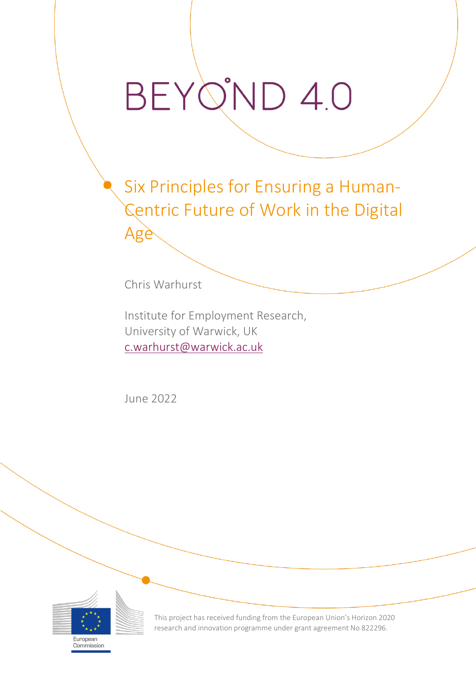## BEYO'ND 4.0

Six Principles for Ensuring a Human-Centric Future of Work in the Digital Age

Chris Warhurst

Institute for Employment Research, University of Warwick, UK [c.warhurst@warwick.ac.uk](mailto:C.Warhurst@warwick.ac.uk)

June 2022



Commission

This project has received funding from the European Union's Horizon 2020 research and innovation programme under grant agreement No 822296.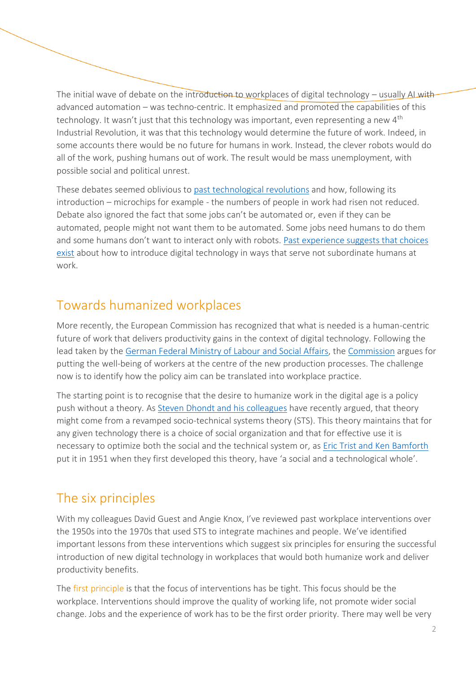The initial wave of debate on the introduction to workplaces of digital technology – usually AL with advanced automation – was techno-centric. It emphasized and promoted the capabilities of this technology. It wasn't just that this technology was important, even representing a new 4<sup>th</sup> Industrial Revolution, it was that this technology would determine the future of work. Indeed, in some accounts there would be no future for humans in work. Instead, the clever robots would do all of the work, pushing humans out of work. The result would be mass unemployment, with possible social and political unrest.

These debates seemed oblivious to [past technological revolutions](https://beyond4-0.eu/storage/publications/D7.1%20Technological%20Revolutions:%20Which%20Ones,%20How%20Many%20%20And%20Why%20It%20Matters:%20A%20Neo-Schumpeterian%20View/BEY_D7.1%20Historical%20paper.pdf) and how, following its introduction – microchips for example - the numbers of people in work had risen not reduced. Debate also ignored the fact that some jobs can't be automated or, even if they can be automated, people might not want them to be automated. Some jobs need humans to do them and some humans don't want to interact only with robots. [Past experience suggests that choices](https://joint-research-centre.ec.europa.eu/publications/digitalisation-future-work-and-employment-possible-impact-and-policy-responses_en)  [exist](https://joint-research-centre.ec.europa.eu/publications/digitalisation-future-work-and-employment-possible-impact-and-policy-responses_en) about how to introduce digital technology in ways that serve not subordinate humans at work.

## Towards humanized workplaces

More recently, the European Commission has recognized that what is needed is a human-centric future of work that delivers productivity gains in the context of digital technology. Following the lead taken by the [German Federal Ministry of Labour and Social Affairs,](https://www.bmas.de/EN/Services/Publications/a883-white-paper.htm) the [Commission](https://ec.europa.eu/info/publications/industry-50_en) argues for putting the well-being of workers at the centre of the new production processes. The challenge now is to identify how the policy aim can be translated into workplace practice.

The starting point is to recognise that the desire to humanize work in the digital age is a policy push without a theory. As [Steven Dhondt and his colleagues](https://www.elgaronline.com/configurable/content/edcoll$002f9781789909340$002f9781789909340.00013.xml?t:ac=edcoll%24002f9781789909340%24002f9781789909340.00013.xml) have recently argued, that theory might come from a revamped socio-technical systems theory (STS). This theory maintains that for any given technology there is a choice of social organization and that for effective use it is necessary to optimize both the social and the technical system or, as [Eric Trist and Ken Bamforth](https://www.uv.es/=gonzalev/PSI%20ORG%2006-07/ARTICULOS%20RRHH%20SOCIOTEC/Trist%20Long%20Wall%20Method%20HR%201951.pdf) put it in 1951 when they first developed this theory, have 'a social and a technological whole'.

## The six principles

With my colleagues David Guest and Angie Knox, I've reviewed past workplace interventions over the 1950s into the 1970s that used STS to integrate machines and people. We've identified important lessons from these interventions which suggest six principles for ensuring the successful introduction of new digital technology in workplaces that would both humanize work and deliver productivity benefits.

The first principle is that the focus of interventions has be tight. This focus should be the workplace. Interventions should improve the quality of working life, not promote wider social change. Jobs and the experience of work has to be the first order priority. There may well be very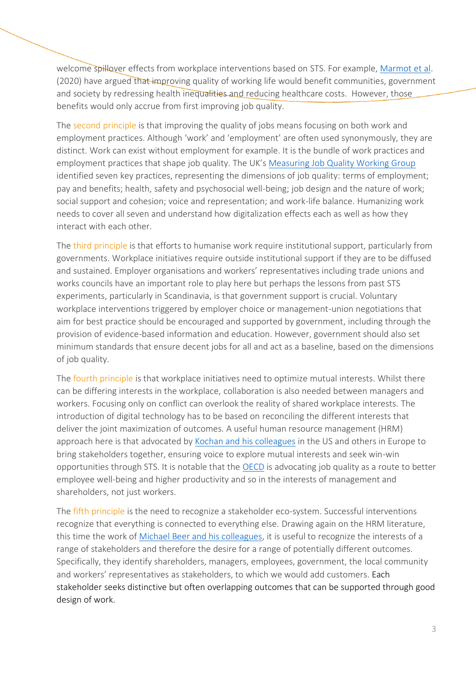welcome spillover effects from workplace interventions based on STS. For example, [Marmot et al.](https://www.health.org.uk/publications/reports/the-marmot-review-10-years-on) (2020) have argued that improving quality of working life would benefit communities, government and society by redressing health inequalities and reducing healthcare costs. However, those benefits would only accrue from first improving job quality.

The second principle is that improving the quality of jobs means focusing on both work and employment practices. Although 'work' and 'employment' are often used synonymously, they are distinct. Work can exist without employment for example. It is the bundle of work practices and employment practices that shape job quality. The UK's [Measuring Job Quality Working Group](https://www.carnegieuktrust.org.uk/publications/measuring-good-work-the-final-report-of-the-measuring-job-quality-working-group/) identified seven key practices, representing the dimensions of job quality: terms of employment; pay and benefits; health, safety and psychosocial well-being; job design and the nature of work; social support and cohesion; voice and representation; and work-life balance. Humanizing work needs to cover all seven and understand how digitalization effects each as well as how they interact with each other.

The third principle is that efforts to humanise work require institutional support, particularly from governments. Workplace initiatives require outside institutional support if they are to be diffused and sustained. Employer organisations and workers' representatives including trade unions and works councils have an important role to play here but perhaps the lessons from past STS experiments, particularly in Scandinavia, is that government support is crucial. Voluntary workplace interventions triggered by employer choice or management-union negotiations that aim for best practice should be encouraged and supported by government, including through the provision of evidence-based information and education. However, government should also set minimum standards that ensure decent jobs for all and act as a baseline, based on the dimensions of job quality.

The fourth principle is that workplace initiatives need to optimize mutual interests. Whilst there can be differing interests in the workplace, collaboration is also needed between managers and workers. Focusing only on conflict can overlook the reality of shared workplace interests. The introduction of digital technology has to be based on reconciling the different interests that deliver the joint maximization of outcomes. A useful human resource management (HRM) approach here is that advocated by Kochan [and his colleagues](https://www.cornellpress.cornell.edu/book/9780875463209/the-transformation-of-american-industrial-relations/#bookTabs=1) in the US and others in Europe to bring stakeholders together, ensuring voice to explore mutual interests and seek win-win opportunities through STS. It is notable that the [OECD](https://www.oecd.org/employment/the-crisis-has-had-a-lasting-impact-on-job-quality-new-oecd-figures-show.htm) is advocating job quality as a route to better employee well-being and higher productivity and so in the interests of management and shareholders, not just workers.

The fifth principle is the need to recognize a stakeholder eco-system. Successful interventions recognize that everything is connected to everything else. Drawing again on the HRM literature, this time the work of [Michael Beer and his colleagues,](https://www.hbs.edu/faculty/Pages/item.aspx?num=49902) it is useful to recognize the interests of a range of stakeholders and therefore the desire for a range of potentially different outcomes. Specifically, they identify shareholders, managers, employees, government, the local community and workers' representatives as stakeholders, to which we would add customers. Each stakeholder seeks distinctive but often overlapping outcomes that can be supported through good design of work.